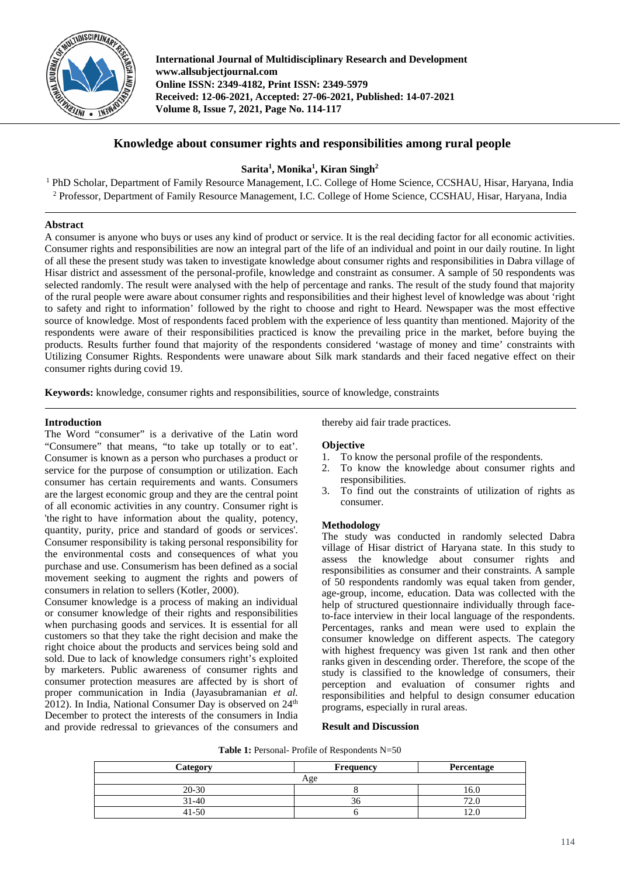

**International Journal of Multidisciplinary Research and Development www.allsubjectjournal.com Online ISSN: 2349-4182, Print ISSN: 2349-5979 Received: 12-06-2021, Accepted: 27-06-2021, Published: 14-07-2021 Volume 8, Issue 7, 2021, Page No. 114-117**

# **Knowledge about consumer rights and responsibilities among rural people**

## **Sarita1 , Monika1 , Kiran Singh2**

<sup>1</sup> PhD Scholar, Department of Family Resource Management, I.C. College of Home Science, CCSHAU, Hisar, Haryana, India <sup>2</sup> Professor, Department of Family Resource Management, I.C. College of Home Science, CCSHAU, Hisar, Haryana, India

## **Abstract**

A consumer is anyone who buys or uses any kind of product or service. It is the real deciding factor for all economic activities. Consumer rights and responsibilities are now an integral part of the life of an individual and point in our daily routine. In light of all these the present study was taken to investigate knowledge about consumer rights and responsibilities in Dabra village of Hisar district and assessment of the personal-profile, knowledge and constraint as consumer. A sample of 50 respondents was selected randomly. The result were analysed with the help of percentage and ranks. The result of the study found that majority of the rural people were aware about consumer rights and responsibilities and their highest level of knowledge was about 'right to safety and right to information' followed by the right to choose and right to Heard. Newspaper was the most effective source of knowledge. Most of respondents faced problem with the experience of less quantity than mentioned. Majority of the respondents were aware of their responsibilities practiced is know the prevailing price in the market, before buying the products. Results further found that majority of the respondents considered 'wastage of money and time' constraints with Utilizing Consumer Rights. Respondents were unaware about Silk mark standards and their faced negative effect on their consumer rights during covid 19.

**Keywords:** knowledge, consumer rights and responsibilities, source of knowledge, constraints

### **Introduction**

The Word "consumer" is a derivative of the Latin word "Consumere" that means, "to take up totally or to eat'. Consumer is known as a person who purchases a product or service for the purpose of consumption or utilization. Each consumer has certain requirements and wants. Consumers are the largest economic group and they are the central point of all economic activities in any country. Consumer right is 'the right to have information about the quality, potency, quantity, purity, price and standard of goods or services'. Consumer responsibility is taking personal responsibility for the environmental costs and consequences of what you purchase and use. Consumerism has been defined as a social movement seeking to augment the rights and powers of consumers in relation to sellers (Kotler, 2000).

Consumer knowledge is a process of making an individual or consumer knowledge of their rights and responsibilities when purchasing goods and services. It is essential for all customers so that they take the right decision and make the right choice about the products and services being sold and sold. Due to lack of knowledge consumers right's exploited by marketers. Public awareness of consumer rights and consumer protection measures are affected by is short of proper communication in India (Jayasubramanian *et al.* 2012). In India, National Consumer Day is observed on 24<sup>th</sup> December to protect the interests of the consumers in India and provide redressal to grievances of the consumers and thereby aid fair trade practices.

#### **Objective**

- 1. To know the personal profile of the respondents.
- 2. To know the knowledge about consumer rights and responsibilities.
- 3. To find out the constraints of utilization of rights as consumer.

#### **Methodology**

The study was conducted in randomly selected Dabra village of Hisar district of Haryana state. In this study to assess the knowledge about consumer rights and responsibilities as consumer and their constraints. A sample of 50 respondents randomly was equal taken from gender, age-group, income, education. Data was collected with the help of structured questionnaire individually through faceto-face interview in their local language of the respondents. Percentages, ranks and mean were used to explain the consumer knowledge on different aspects. The category with highest frequency was given 1st rank and then other ranks given in descending order. Therefore, the scope of the study is classified to the knowledge of consumers, their perception and evaluation of consumer rights and responsibilities and helpful to design consumer education programs, especially in rural areas.

#### **Result and Discussion**

| Category  | <b>Frequency</b> | Percentage |
|-----------|------------------|------------|
|           | Age              |            |
| $20 - 30$ |                  | 16.0       |
| 31-40     |                  | 72.1       |
| 41-50     |                  |            |

**Table 1:** Personal- Profile of Respondents N=50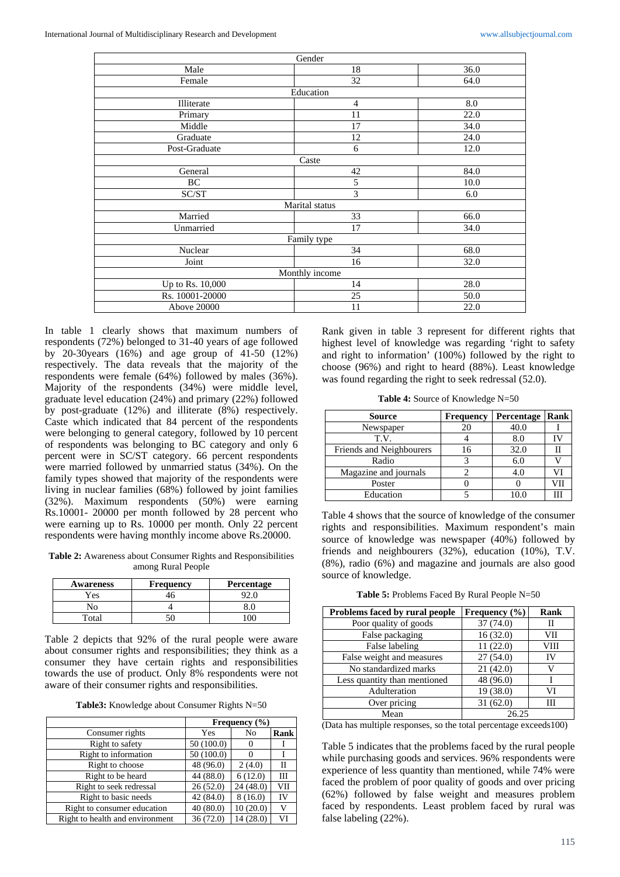|                  | Gender         |      |
|------------------|----------------|------|
| Male             | 18             | 36.0 |
| Female           | 32             | 64.0 |
|                  | Education      |      |
| Illiterate       | $\overline{4}$ | 8.0  |
| Primary          | 11             | 22.0 |
| Middle           | 17             | 34.0 |
| Graduate         | 12             | 24.0 |
| Post-Graduate    | 6              | 12.0 |
|                  | Caste          |      |
| General          | 42             | 84.0 |
| BC               | 5              | 10.0 |
| SC/ST            | 3              | 6.0  |
|                  | Marital status |      |
| Married          | 33             | 66.0 |
| Unmarried        | 17             | 34.0 |
|                  | Family type    |      |
| Nuclear          | 34             | 68.0 |
| Joint            | 16             | 32.0 |
|                  | Monthly income |      |
| Up to Rs. 10,000 | 14             | 28.0 |
| Rs. 10001-20000  | 25             | 50.0 |
| Above 20000      | 11             | 22.0 |
|                  |                |      |

In table 1 clearly shows that maximum numbers of respondents (72%) belonged to 31-40 years of age followed by 20-30years (16%) and age group of 41-50 (12%) respectively. The data reveals that the majority of the respondents were female (64%) followed by males (36%). Majority of the respondents (34%) were middle level, graduate level education (24%) and primary (22%) followed by post-graduate (12%) and illiterate (8%) respectively. Caste which indicated that 84 percent of the respondents were belonging to general category, followed by 10 percent of respondents was belonging to BC category and only 6 percent were in SC/ST category. 66 percent respondents were married followed by unmarried status (34%). On the family types showed that majority of the respondents were living in nuclear families (68%) followed by joint families (32%). Maximum respondents (50%) were earning Rs.10001- 20000 per month followed by 28 percent who were earning up to Rs. 10000 per month. Only 22 percent respondents were having monthly income above Rs.20000.

**Table 2:** Awareness about Consumer Rights and Responsibilities among Rural People

| <b>Awareness</b> | <b>Frequency</b> | Percentage |
|------------------|------------------|------------|
| Yes              |                  |            |
| ÑО               |                  |            |
| Total            |                  |            |

Table 2 depicts that 92% of the rural people were aware about consumer rights and responsibilities; they think as a consumer they have certain rights and responsibilities towards the use of product. Only 8% respondents were not aware of their consumer rights and responsibilities.

**Table3:** Knowledge about Consumer Rights N=50

|                                 | Frequency $(\% )$ |          |      |
|---------------------------------|-------------------|----------|------|
| Consumer rights                 | Yes               | No       | Rank |
| Right to safety                 | 50(100.0)         |          |      |
| Right to information            | 50(100.0)         |          |      |
| Right to choose                 | 48 (96.0)         | 2(4.0)   | Н    |
| Right to be heard               | 44 (88.0)         | 6(12.0)  | Ш    |
| Right to seek redressal         | 26(52.0)          | 24(48.0) | VII  |
| Right to basic needs            | 42 (84.0)         | 8(16.0)  | IV   |
| Right to consumer education     | 40(80.0)          | 10(20.0) | V    |
| Right to health and environment | 36(72.0)          | 14(28.0) | VI   |

Rank given in table 3 represent for different rights that highest level of knowledge was regarding 'right to safety and right to information' (100%) followed by the right to choose (96%) and right to heard (88%). Least knowledge was found regarding the right to seek redressal (52.0).

**Table 4:** Source of Knowledge N=50

| <b>Source</b>            | Frequency | Percentage | Rank |
|--------------------------|-----------|------------|------|
| Newspaper                | 20        | 40.0       |      |
| T.V.                     |           | 8.0        |      |
| Friends and Neighbourers | 16        | 32.0       | Н    |
| Radio                    |           | 6.0        |      |
| Magazine and journals    |           | 4.0        | V١   |
| Poster                   |           |            | ЛΠ   |
| Education                |           |            | Ш    |

Table 4 shows that the source of knowledge of the consumer rights and responsibilities. Maximum respondent's main source of knowledge was newspaper (40%) followed by friends and neighbourers (32%), education (10%), T.V. (8%), radio (6%) and magazine and journals are also good source of knowledge.

**Table 5:** Problems Faced By Rural People N=50

| Problems faced by rural people | Frequency $(\% )$ | <b>Rank</b> |
|--------------------------------|-------------------|-------------|
| Poor quality of goods          | 37(74.0)          | П           |
| False packaging                | 16(32.0)          | VII         |
| False labeling                 | 11(22.0)          | VIII        |
| False weight and measures      | 27(54.0)          | IV          |
| No standardized marks          | 21(42.0)          | V           |
| Less quantity than mentioned   | 48 (96.0)         |             |
| Adulteration                   | 19 (38.0)         | VI          |
| Over pricing                   | 31(62.0)          | Ш           |
| Mean                           | 26.25             |             |

(Data has multiple responses, so the total percentage exceeds100)

Table 5 indicates that the problems faced by the rural people while purchasing goods and services. 96% respondents were experience of less quantity than mentioned, while 74% were faced the problem of poor quality of goods and over pricing (62%) followed by false weight and measures problem faced by respondents. Least problem faced by rural was false labeling (22%).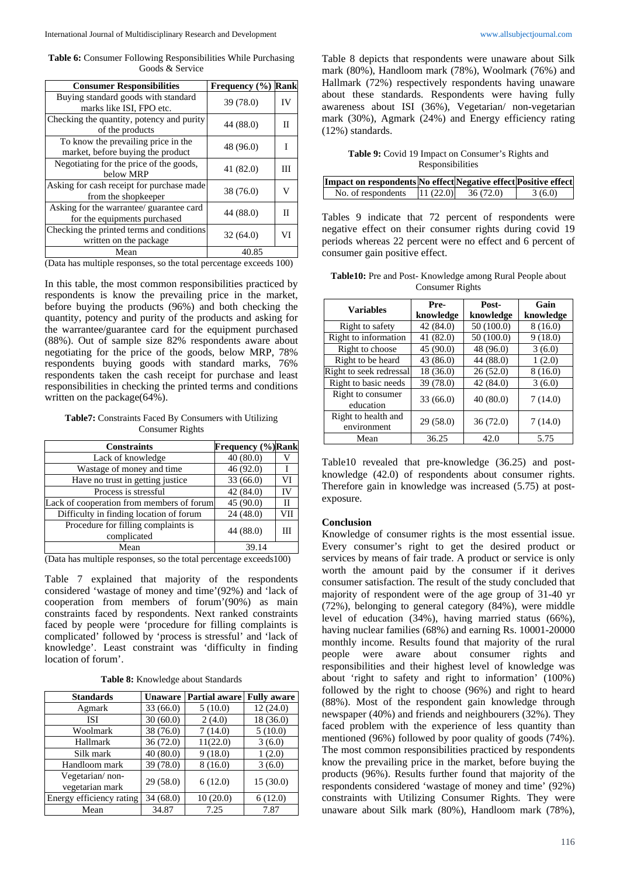**Table 6:** Consumer Following Responsibilities While Purchasing Goods & Service

| <b>Consumer Responsibilities</b>                                         | Frequency $(\% )$ | <b>Rank</b> |
|--------------------------------------------------------------------------|-------------------|-------------|
| Buying standard goods with standard<br>marks like ISI, FPO etc.          | 39(78.0)          | IV          |
| Checking the quantity, potency and purity<br>of the products             | 44 (88.0)         | П           |
| To know the prevailing price in the<br>market, before buying the product | 48 (96.0)         |             |
| Negotiating for the price of the goods,<br>below MRP                     | 41(82.0)          | Ш           |
| Asking for cash receipt for purchase made<br>from the shopkeeper         | 38 (76.0)         |             |
| Asking for the warrantee/ guarantee card<br>for the equipments purchased | 44 (88.0)         | П           |
| Checking the printed terms and conditions<br>written on the package      | 32(64.0)          | VI          |
| Mean                                                                     | 40.85             |             |

(Data has multiple responses, so the total percentage exceeds 100)

In this table, the most common responsibilities practiced by respondents is know the prevailing price in the market, before buying the products (96%) and both checking the quantity, potency and purity of the products and asking for the warrantee/guarantee card for the equipment purchased (88%). Out of sample size 82% respondents aware about negotiating for the price of the goods, below MRP, 78% respondents buying goods with standard marks, 76% respondents taken the cash receipt for purchase and least responsibilities in checking the printed terms and conditions written on the package(64%).

**Table7:** Constraints Faced By Consumers with Utilizing Consumer Rights

| <b>Constraints</b>                                 | <b>Frequency (%)Rank</b> |     |
|----------------------------------------------------|--------------------------|-----|
| Lack of knowledge                                  | 40(80.0)                 |     |
| Wastage of money and time                          | 46 (92.0)                |     |
| Have no trust in getting justice                   | 33(66.0)                 | VI  |
| Process is stressful                               | 42(84.0)                 | IV  |
| Lack of cooperation from members of forum          | 45 (90.0)                | Н   |
| Difficulty in finding location of forum            | 24(48.0)                 | VII |
| Procedure for filling complaints is<br>complicated | 44 (88.0)                |     |
| Mean                                               | 39.14                    |     |

(Data has multiple responses, so the total percentage exceeds100)

Table 7 explained that majority of the respondents considered 'wastage of money and time'(92%) and 'lack of cooperation from members of forum'(90%) as main constraints faced by respondents. Next ranked constraints faced by people were 'procedure for filling complaints is complicated' followed by 'process is stressful' and 'lack of knowledge'. Least constraint was 'difficulty in finding location of forum'.

**Table 8:** Knowledge about Standards

| <b>Standards</b>                   | <b>Unaware</b> | <b>Partial aware</b> | <b>Fully aware</b> |
|------------------------------------|----------------|----------------------|--------------------|
| Agmark                             | 33 (66.0)      | 5(10.0)              | 12(24.0)           |
| ISI                                | 30(60.0)       | 2(4.0)               | 18 (36.0)          |
| Woolmark                           | 38 (76.0)      | 7(14.0)              | 5(10.0)            |
| Hallmark                           | 36 (72.0)      | 11(22.0)             | 3(6.0)             |
| Silk mark                          | 40(80.0)       | 9(18.0)              | 1(2.0)             |
| Handloom mark                      | 39 (78.0)      | 8(16.0)              | 3(6.0)             |
| Vegetarian/non-<br>vegetarian mark | 29(58.0)       | 6(12.0)              | 15(30.0)           |
| Energy efficiency rating           | 34(68.0)       | 10(20.0)             | 6(12.0)            |
| Mean                               | 34.87          | 7.25                 | 7.87               |

Table 8 depicts that respondents were unaware about Silk mark (80%), Handloom mark (78%), Woolmark (76%) and Hallmark (72%) respectively respondents having unaware about these standards. Respondents were having fully awareness about ISI (36%), Vegetarian/ non-vegetarian mark (30%), Agmark (24%) and Energy efficiency rating (12%) standards.

**Table 9:** Covid 19 Impact on Consumer's Rights and Responsibilities

| Impact on respondents No effect Negative effect Positive effect |          |          |        |
|-----------------------------------------------------------------|----------|----------|--------|
| No. of respondents                                              | 11(22.0) | 36(72.0) | 3(6.0) |

Tables 9 indicate that 72 percent of respondents were negative effect on their consumer rights during covid 19 periods whereas 22 percent were no effect and 6 percent of consumer gain positive effect.

**Table10:** Pre and Post- Knowledge among Rural People about Consumer Rights

| <b>Variables</b>                   | Pre-<br>knowledge | Post-<br>knowledge | Gain<br>knowledge |
|------------------------------------|-------------------|--------------------|-------------------|
| Right to safety                    | 42 (84.0)         | 50(100.0)          | 8(16.0)           |
| Right to information               | 41(82.0)          | 50(100.0)          | 9(18.0)           |
| Right to choose                    | 45 (90.0)         | 48 (96.0)          | 3(6.0)            |
| Right to be heard                  | 43(86.0)          | 44 (88.0)          | 1(2.0)            |
| Right to seek redressal            | 18 (36.0)         | 26(52.0)           | 8(16.0)           |
| Right to basic needs               | 39 (78.0)         | 42 (84.0)          | 3(6.0)            |
| Right to consumer<br>education     | 33(66.0)          | 40(80.0)           | 7(14.0)           |
| Right to health and<br>environment | 29(58.0)          | 36(72.0)           | 7(14.0)           |
| Mean                               | 36.25             | 42.0               | 5.75              |

Table10 revealed that pre-knowledge (36.25) and postknowledge (42.0) of respondents about consumer rights. Therefore gain in knowledge was increased (5.75) at postexposure.

#### **Conclusion**

Knowledge of consumer rights is the most essential issue. Every consumer's right to get the desired product or services by means of fair trade. A product or service is only worth the amount paid by the consumer if it derives consumer satisfaction. The result of the study concluded that majority of respondent were of the age group of 31-40 yr (72%), belonging to general category (84%), were middle level of education (34%), having married status (66%), having nuclear families (68%) and earning Rs. 10001-20000 monthly income. Results found that majority of the rural people were aware about consumer rights and responsibilities and their highest level of knowledge was about 'right to safety and right to information' (100%) followed by the right to choose (96%) and right to heard (88%). Most of the respondent gain knowledge through newspaper (40%) and friends and neighbourers (32%). They faced problem with the experience of less quantity than mentioned (96%) followed by poor quality of goods (74%). The most common responsibilities practiced by respondents know the prevailing price in the market, before buying the products (96%). Results further found that majority of the respondents considered 'wastage of money and time' (92%) constraints with Utilizing Consumer Rights. They were unaware about Silk mark (80%), Handloom mark (78%),